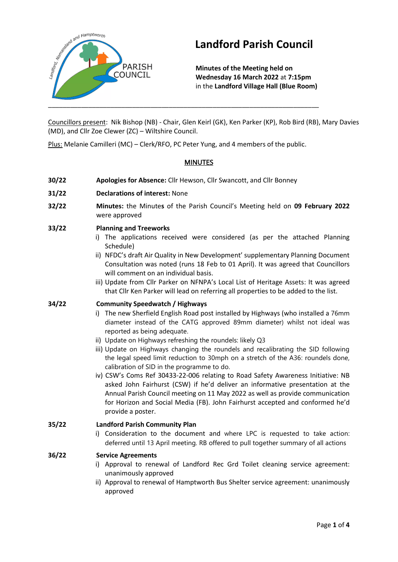

# **Landford Parish Council**

**Minutes of the Meeting held on Wednesday 16 March 2022** at **7:15pm** in the **Landford Village Hall (Blue Room)**

Councillors present: Nik Bishop (NB) - Chair, Glen Keirl (GK), Ken Parker (KP), Rob Bird (RB), Mary Davies (MD), and Cllr Zoe Clewer (ZC) – Wiltshire Council.

Plus: Melanie Camilleri (MC) – Clerk/RFO, PC Peter Yung, and 4 members of the public.

# **MINUTES**

- **30/22 Apologies for Absence:** Cllr Hewson, Cllr Swancott, and Cllr Bonney
- **31/22 Declarations of interest:** None
- **32/22 Minutes:** the Minute**s** of the Parish Council's Meeting held on **09 February 2022** were approved
- **33/22 Planning and Treeworks**
	- i) The applications received were considered (as per the attached Planning Schedule)
	- ii) NFDC's draft Air Quality in New Development' supplementary Planning Document Consultation was noted (runs 18 Feb to 01 April). It was agreed that Councillors will comment on an individual basis.
	- iii) Update from Cllr Parker on NFNPA's Local List of Heritage Assets: It was agreed that Cllr Ken Parker will lead on referring all properties to be added to the list.

#### **34/22 Community Speedwatch / Highways**

- i) The new Sherfield English Road post installed by Highways (who installed a 76mm diameter instead of the CATG approved 89mm diameter) whilst not ideal was reported as being adequate.
- ii) Update on Highways refreshing the roundels: likely Q3
- iii) Update on Highways changing the roundels and recalibrating the SID following the legal speed limit reduction to 30mph on a stretch of the A36: roundels done, calibration of SID in the programme to do.
- iv) CSW's Coms Ref 30433-22-006 relating to Road Safety Awareness Initiative: NB asked John Fairhurst (CSW) if he'd deliver an informative presentation at the Annual Parish Council meeting on 11 May 2022 as well as provide communication for Horizon and Social Media (FB). John Fairhurst accepted and conformed he'd provide a poster.

#### **35/22 Landford Parish Community Plan**

i) Consideration to the document and where LPC is requested to take action: deferred until 13 April meeting. RB offered to pull together summary of all actions

#### **36/22 Service Agreements**

- i) Approval to renewal of Landford Rec Grd Toilet cleaning service agreement: unanimously approved
- ii) Approval to renewal of Hamptworth Bus Shelter service agreement: unanimously approved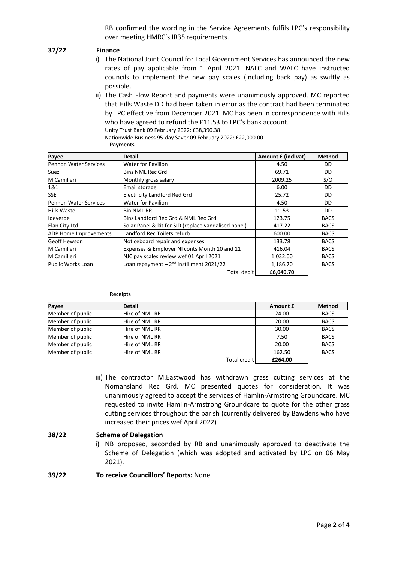RB confirmed the wording in the Service Agreements fulfils LPC's responsibility over meeting HMRC's IR35 requirements.

#### **37/22 Finance**

- i) The National Joint Council for Local Government Services has announced the new rates of pay applicable from 1 April 2021. NALC and WALC have instructed councils to implement the new pay scales (including back pay) as swiftly as possible.
- ii) The Cash Flow Report and payments were unanimously approved. MC reported that Hills Waste DD had been taken in error as the contract had been terminated by LPC effective from December 2021. MC has been in correspondence with Hills who have agreed to refund the £11.53 to LPC's bank account.

Unity Trust Bank 09 February 2022: £38,390.38

Nationwide Business 95-day Saver 09 February 2022: £22,000.00

**Payments**

| Payee                        | <b>Detail</b>                                        | Amount £ (incl vat) | <b>Method</b> |
|------------------------------|------------------------------------------------------|---------------------|---------------|
| <b>Pennon Water Services</b> | <b>Water for Pavilion</b>                            | 4.50                | DD            |
| Suez                         | <b>Bins NML Rec Grd</b>                              | 69.71               | DD            |
| M Camilleri                  | Monthly gross salary                                 | 2009.25             | S/O           |
| 1&1                          | <b>Email storage</b>                                 | 6.00                | DD            |
| <b>SSE</b>                   | <b>Electricity Landford Red Grd</b>                  | 25.72               | DD            |
| Pennon Water Services        | <b>Water for Pavilion</b>                            | 4.50                | DD            |
| <b>Hills Waste</b>           | <b>Bin NML RR</b>                                    | 11.53               | DD            |
| Ideverde                     | Bins Landford Rec Grd & NML Rec Grd                  | 123.75              | <b>BACS</b>   |
| Elan City Ltd                | Solar Panel & kit for SID (replace vandalised panel) | 417.22              | <b>BACS</b>   |
| <b>ADP Home Improvements</b> | Landford Rec Toilets refurb                          | 600.00              | <b>BACS</b>   |
| <b>Geoff Hewson</b>          | Noticeboard repair and expenses                      | 133.78              | <b>BACS</b>   |
| M Camilleri                  | Expenses & Employer NI conts Month 10 and 11         | 416.04              | <b>BACS</b>   |
| M Camilleri                  | NJC pay scales review wef 01 April 2021              | 1,032.00            | <b>BACS</b>   |
| Public Works Loan            | Loan repayment $-2nd$ instillment 2021/22            | 1,186.70            | <b>BACS</b>   |
|                              | Total debit                                          | £6,040.70           |               |

#### **Receipts**

| Payee            | <b>Detail</b>  | Amount £ | <b>Method</b> |
|------------------|----------------|----------|---------------|
| Member of public | Hire of NML RR | 24.00    | <b>BACS</b>   |
| Member of public | Hire of NML RR | 20.00    | <b>BACS</b>   |
| Member of public | Hire of NML RR | 30.00    | <b>BACS</b>   |
| Member of public | Hire of NML RR | 7.50     | <b>BACS</b>   |
| Member of public | Hire of NML RR | 20.00    | <b>BACS</b>   |
| Member of public | Hire of NML RR | 162.50   | <b>BACS</b>   |
|                  | Total credit I | £264.00  |               |

iii) The contractor M.Eastwood has withdrawn grass cutting services at the Nomansland Rec Grd. MC presented quotes for consideration. It was unanimously agreed to accept the services of Hamlin-Armstrong Groundcare. MC requested to invite Hamlin-Armstrong Groundcare to quote for the other grass cutting services throughout the parish (currently delivered by Bawdens who have increased their prices wef April 2022)

#### **38/22 Scheme of Delegation**

i) NB proposed, seconded by RB and unanimously approved to deactivate the Scheme of Delegation (which was adopted and activated by LPC on 06 May 2021).

#### **39/22 To receive Councillors' Reports:** None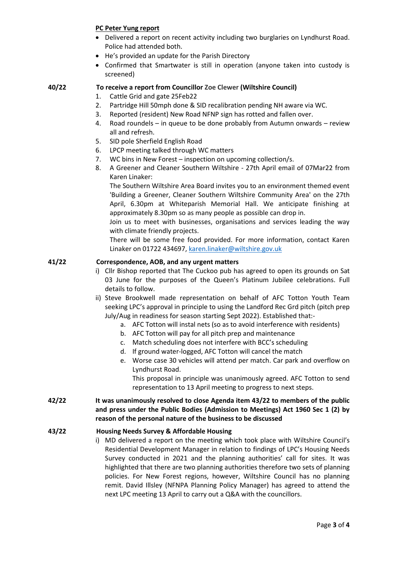## **PC Peter Yung report**

- Delivered a report on recent activity including two burglaries on Lyndhurst Road. Police had attended both.
- He's provided an update for the Parish Directory
- Confirmed that Smartwater is still in operation (anyone taken into custody is screened)

#### **40/22 To receive a report from Councillor Zoe Clewer (Wiltshire Council)**

- 1. Cattle Grid and gate 25Feb22
- 2. Partridge Hill 50mph done & SID recalibration pending NH aware via WC.
- 3. Reported (resident) New Road NFNP sign has rotted and fallen over.
- 4. Road roundels in queue to be done probably from Autumn onwards review all and refresh.
- 5. SID pole Sherfield English Road
- 6. LPCP meeting talked through WC matters
- 7. WC bins in New Forest inspection on upcoming collection/s.
- 8. A Greener and Cleaner Southern Wiltshire 27th April email of 07Mar22 from Karen Linaker:

The Southern Wiltshire Area Board invites you to an environment themed event 'Building a Greener, Cleaner Southern Wiltshire Community Area' on the 27th April, 6.30pm at Whiteparish Memorial Hall. We anticipate finishing at approximately 8.30pm so as many people as possible can drop in.

Join us to meet with businesses, organisations and services leading the way with climate friendly projects.

There will be some free food provided. For more information, contact Karen Linaker on 01722 434697, [karen.linaker@wiltshire.gov.uk](mailto:karen.linaker@wiltshire.gov.uk)

### **41/22 Correspondence, AOB, and any urgent matters**

- i) Cllr Bishop reported that The Cuckoo pub has agreed to open its grounds on Sat 03 June for the purposes of the Queen's Platinum Jubilee celebrations. Full details to follow.
- ii) Steve Brookwell made representation on behalf of AFC Totton Youth Team seeking LPC's approval in principle to using the Landford Rec Grd pitch (pitch prep July/Aug in readiness for season starting Sept 2022). Established that:
	- a. AFC Totton will instal nets (so as to avoid interference with residents)
	- b. AFC Totton will pay for all pitch prep and maintenance
	- c. Match scheduling does not interfere with BCC's scheduling
	- d. If ground water-logged, AFC Totton will cancel the match
	- e. Worse case 30 vehicles will attend per match. Car park and overflow on Lyndhurst Road.

This proposal in principle was unanimously agreed. AFC Totton to send representation to 13 April meeting to progress to next steps.

**42/22 It was unanimously resolved to close Agenda item 43/22 to members of the public and press under the Public Bodies (Admission to Meetings) Act 1960 Sec 1 (2) by reason of the personal nature of the business to be discussed**

#### **43/22 Housing Needs Survey & Affordable Housing**

i) MD delivered a report on the meeting which took place with Wiltshire Council's Residential Development Manager in relation to findings of LPC's Housing Needs Survey conducted in 2021 and the planning authorities' call for sites. It was highlighted that there are two planning authorities therefore two sets of planning policies. For New Forest regions, however, Wiltshire Council has no planning remit. David Illsley (NFNPA Planning Policy Manager) has agreed to attend the next LPC meeting 13 April to carry out a Q&A with the councillors.